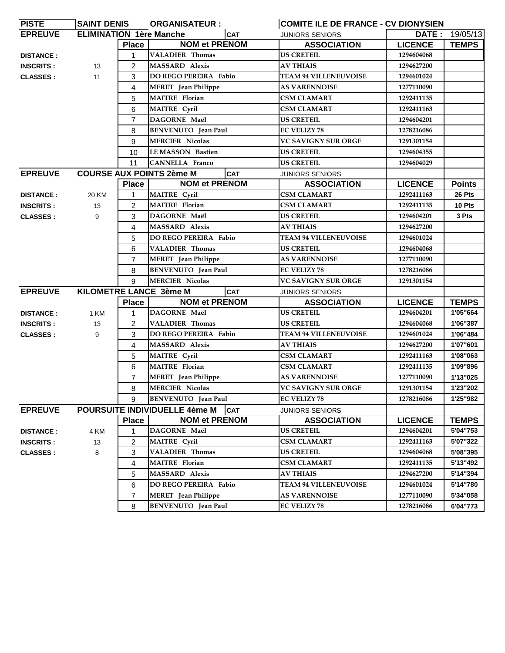| <b>PISTE</b>     | <b>SAINT DENIS</b>             |                | <b>ORGANISATEUR:</b>            |            | <b>COMITE ILE DE FRANCE - CV DIONYSIEN</b> |                |                       |
|------------------|--------------------------------|----------------|---------------------------------|------------|--------------------------------------------|----------------|-----------------------|
| <b>EPREUVE</b>   | <b>ELIMINATION 1ère Manche</b> |                |                                 | <b>CAT</b> | <b>JUNIORS SENIORS</b>                     |                | <b>DATE: 19/05/13</b> |
|                  |                                | <b>Place</b>   | <b>NOM et PRENOM</b>            |            | <b>ASSOCIATION</b>                         | <b>LICENCE</b> | <b>TEMPS</b>          |
| <b>DISTANCE:</b> |                                | 1              | <b>VALADIER Thomas</b>          |            | <b>US CRETEIL</b>                          | 1294604068     |                       |
| <b>INSCRITS:</b> | 13                             | 2              | <b>MASSARD Alexis</b>           |            | <b>AV THIAIS</b>                           | 1294627200     |                       |
| <b>CLASSES:</b>  | 11                             | 3              | DO REGO PEREIRA Fabio           |            | <b>TEAM 94 VILLENEUVOISE</b>               | 1294601024     |                       |
|                  |                                | 4              | <b>MERET</b> Jean Philippe      |            | <b>AS VARENNOISE</b>                       | 1277110090     |                       |
|                  |                                | 5              | <b>MAITRE</b> Florian           |            | <b>CSM CLAMART</b>                         | 1292411135     |                       |
|                  |                                | 6              | <b>MAITRE</b> Cyril             |            | <b>CSM CLAMART</b>                         | 1292411163     |                       |
|                  |                                | $\overline{7}$ | DAGORNE Maël                    |            | US CRETEIL                                 | 1294604201     |                       |
|                  |                                | 8              | <b>BENVENUTO</b> Jean Paul      |            | <b>EC VELIZY 78</b>                        | 1278216086     |                       |
|                  |                                | 9              | <b>MERCIER Nicolas</b>          |            | <b>VC SAVIGNY SUR ORGE</b>                 | 1291301154     |                       |
|                  |                                | 10             | <b>LEMASSON Bastien</b>         |            | <b>US CRETEIL</b>                          | 1294604355     |                       |
|                  |                                | 11             | <b>CANNELLA Franco</b>          |            | <b>US CRETEIL</b>                          | 1294604029     |                       |
| <b>EPREUVE</b>   |                                |                | <b>COURSE AUX POINTS 2ème M</b> | <b>CAT</b> | <b>JUNIORS SENIORS</b>                     |                |                       |
|                  |                                | <b>Place</b>   | <b>NOM et PRENOM</b>            |            | <b>ASSOCIATION</b>                         | <b>LICENCE</b> | <b>Points</b>         |
| <b>DISTANCE:</b> | 20 KM                          | $\mathbf{1}$   | <b>MAITRE Cyril</b>             |            | <b>CSM CLAMART</b>                         | 1292411163     | 26 Pts                |
| <b>INSCRITS:</b> | 13                             | 2              | <b>MAITRE</b> Florian           |            | <b>CSM CLAMART</b>                         | 1292411135     | 10 Pts                |
| <b>CLASSES:</b>  | 9                              | 3              | DAGORNE Maël                    |            | <b>US CRETEIL</b>                          | 1294604201     | 3 Pts                 |
|                  |                                | 4              | <b>MASSARD Alexis</b>           |            | <b>AV THIAIS</b>                           | 1294627200     |                       |
|                  |                                | 5              | DO REGO PEREIRA Fabio           |            | <b>TEAM 94 VILLENEUVOISE</b>               | 1294601024     |                       |
|                  |                                | 6              | <b>VALADIER Thomas</b>          |            | US CRETEIL                                 | 1294604068     |                       |
|                  |                                | $\overline{7}$ | <b>MERET</b> Jean Philippe      |            | <b>AS VARENNOISE</b>                       | 1277110090     |                       |
|                  |                                | 8              | <b>BENVENUTO</b> Jean Paul      |            | <b>EC VELIZY 78</b>                        | 1278216086     |                       |
|                  |                                | 9              | <b>MERCIER Nicolas</b>          |            | <b>VC SAVIGNY SUR ORGE</b>                 | 1291301154     |                       |
| <b>EPREUVE</b>   |                                |                | KILOMETRE LANCE 3ème M          | ICAT       | <b>JUNIORS SENIORS</b>                     |                |                       |
|                  |                                | <b>Place</b>   | <b>NOM et PRENOM</b>            |            | <b>ASSOCIATION</b>                         | <b>LICENCE</b> | <b>TEMPS</b>          |
| <b>DISTANCE:</b> | 1 KM                           | 1              | DAGORNE Maël                    |            | <b>US CRETEIL</b>                          | 1294604201     | 1'05"664              |
| <b>INSCRITS:</b> | 13                             | 2              | <b>VALADIER Thomas</b>          |            | <b>US CRETEIL</b>                          | 1294604068     | 1'06"387              |
| <b>CLASSES:</b>  | 9                              | 3              | DO REGO PEREIRA Fabio           |            | <b>TEAM 94 VILLENEUVOISE</b>               | 1294601024     | 1'06"484              |
|                  |                                | 4              | <b>MASSARD</b> Alexis           |            | <b>AV THIAIS</b>                           | 1294627200     | 1'07"601              |
|                  |                                | 5              | <b>MAITRE</b> Cyril             |            | <b>CSM CLAMART</b>                         | 1292411163     | 1'08"063              |
|                  |                                | 6              | <b>MAITRE</b> Florian           |            | <b>CSM CLAMART</b>                         | 1292411135     | 1'09"896              |
|                  |                                | 7              | <b>MERET</b> Jean Philippe      |            | <b>AS VARENNOISE</b>                       | 1277110090     | 1'13"025              |
|                  |                                | 8              | <b>MERCIER Nicolas</b>          |            | VC SAVIGNY SUR ORGE                        | 1291301154     | 1'23"202              |
|                  |                                | 9              | <b>BENVENUTO</b> Jean Paul      |            | <b>EC VELIZY 78</b>                        | 1278216086     | 1'25"982              |
| <b>EPREUVE</b>   |                                |                | POURSUITE INDIVIDUELLE 4ème M   | <b>CAT</b> | <b>JUNIORS SENIORS</b>                     |                |                       |
|                  |                                | <b>Place</b>   | <b>NOM et PRENOM</b>            |            | <b>ASSOCIATION</b>                         | <b>LICENCE</b> | <b>TEMPS</b>          |
| <b>DISTANCE:</b> | 4 KM                           | 1              | DAGORNE Maël                    |            | <b>US CRETEIL</b>                          | 1294604201     | 5'04"753              |
| <b>INSCRITS:</b> | 13                             | 2              | <b>MAITRE</b> Cyril             |            | <b>CSM CLAMART</b>                         | 1292411163     | 5'07"322              |
| <b>CLASSES:</b>  | 8                              | 3              | <b>VALADIER Thomas</b>          |            | <b>US CRETEIL</b>                          | 1294604068     | 5'08"395              |
|                  |                                | 4              | <b>MAITRE</b> Florian           |            | <b>CSM CLAMART</b>                         | 1292411135     | 5'13"492              |
|                  |                                | 5              | <b>MASSARD Alexis</b>           |            | <b>AV THIAIS</b>                           | 1294627200     | 5'14"394              |
|                  |                                | 6              | DO REGO PEREIRA Fabio           |            | <b>TEAM 94 VILLENEUVOISE</b>               | 1294601024     | 5'14"780              |
|                  |                                | 7              | <b>MERET</b> Jean Philippe      |            | <b>AS VARENNOISE</b>                       | 1277110090     | 5'34"058              |
|                  |                                | 8              | <b>BENVENUTO</b> Jean Paul      |            | <b>EC VELIZY 78</b>                        | 1278216086     | 6'04"773              |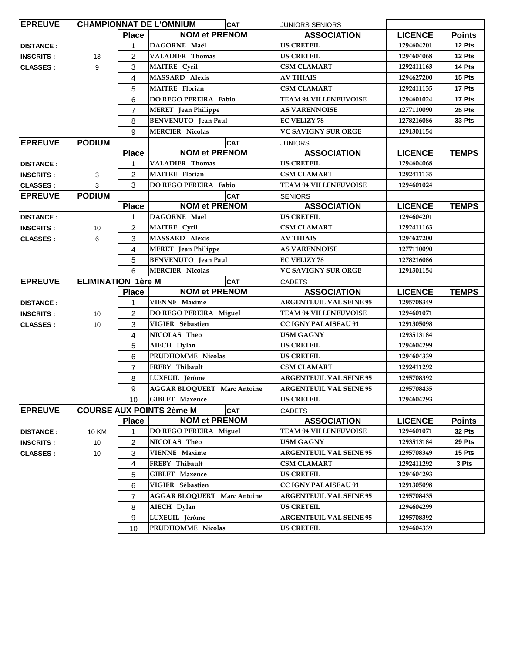| <b>CHAMPIONNAT DE L'OMNIUM</b><br><b>EPREUVE</b>          |                 |                         |                                    | <b>CAT</b> | <b>JUNIORS SENIORS</b>         |                |               |
|-----------------------------------------------------------|-----------------|-------------------------|------------------------------------|------------|--------------------------------|----------------|---------------|
|                                                           |                 | <b>Place</b>            | <b>NOM et PRENOM</b>               |            | <b>ASSOCIATION</b>             | <b>LICENCE</b> | <b>Points</b> |
| <b>DISTANCE:</b>                                          |                 | 1                       | DAGORNE Maël                       |            | <b>US CRETEIL</b>              | 1294604201     | 12 Pts        |
| <b>INSCRITS:</b>                                          | 13              | 2                       | <b>VALADIER Thomas</b>             |            | <b>US CRETEIL</b>              | 1294604068     | 12 Pts        |
| <b>CLASSES:</b>                                           | 9               | 3                       | <b>MAITRE Cyril</b>                |            | <b>CSM CLAMART</b>             | 1292411163     | 14 Pts        |
|                                                           |                 | 4                       | <b>MASSARD Alexis</b>              |            | <b>AV THIAIS</b>               | 1294627200     | 15 Pts        |
|                                                           |                 | 5                       | <b>MAITRE</b> Florian              |            | <b>CSM CLAMART</b>             | 1292411135     | 17 Pts        |
|                                                           |                 | 6                       | <b>DO REGO PEREIRA Fabio</b>       |            | <b>TEAM 94 VILLENEUVOISE</b>   | 1294601024     | 17 Pts        |
|                                                           |                 | $\overline{7}$          | <b>MERET</b> Jean Philippe         |            | <b>AS VARENNOISE</b>           | 1277110090     | 25 Pts        |
|                                                           |                 | 8                       | <b>BENVENUTO</b> Jean Paul         |            | <b>EC VELIZY 78</b>            | 1278216086     | 33 Pts        |
|                                                           |                 | 9                       | <b>MERCIER Nicolas</b>             |            | <b>VC SAVIGNY SUR ORGE</b>     | 1291301154     |               |
| <b>EPREUVE</b>                                            | <b>PODIUM</b>   |                         |                                    | <b>CAT</b> | <b>JUNIORS</b>                 |                |               |
|                                                           |                 | <b>Place</b>            | <b>NOM et PRENOM</b>               |            | <b>ASSOCIATION</b>             | <b>LICENCE</b> | <b>TEMPS</b>  |
| <b>DISTANCE:</b>                                          |                 | 1                       | <b>VALADIER Thomas</b>             |            | <b>US CRETEIL</b>              | 1294604068     |               |
| <b>INSCRITS:</b>                                          | 3               | 2                       | <b>MAITRE</b> Florian              |            | <b>CSM CLAMART</b>             | 1292411135     |               |
| <b>CLASSES:</b>                                           | 3               | 3                       | <b>DO REGO PEREIRA Fabio</b>       |            | <b>TEAM 94 VILLENEUVOISE</b>   | 1294601024     |               |
| <b>EPREUVE</b>                                            | <b>PODIUM</b>   |                         |                                    | <b>CAT</b> | <b>SENIORS</b>                 |                |               |
|                                                           |                 | <b>Place</b>            | <b>NOM et PRENOM</b>               |            | <b>ASSOCIATION</b>             | <b>LICENCE</b> | <b>TEMPS</b>  |
| <b>DISTANCE:</b>                                          |                 | $\mathbf{1}$            | DAGORNE Maël                       |            | <b>US CRETEIL</b>              | 1294604201     |               |
| <b>INSCRITS:</b>                                          | 10              | $\overline{2}$          | MAITRE Cyril                       |            | <b>CSM CLAMART</b>             | 1292411163     |               |
| <b>CLASSES:</b>                                           | 6               | 3                       | <b>MASSARD Alexis</b>              |            | <b>AV THIAIS</b>               | 1294627200     |               |
|                                                           |                 | 4                       | <b>MERET</b> Jean Philippe         |            | <b>AS VARENNOISE</b>           | 1277110090     |               |
|                                                           |                 | 5                       | <b>BENVENUTO</b> Jean Paul         |            | <b>EC VELIZY 78</b>            | 1278216086     |               |
|                                                           |                 | 6                       | <b>MERCIER Nicolas</b>             |            | <b>VC SAVIGNY SUR ORGE</b>     | 1291301154     |               |
| <b>EPREUVE</b><br><b>ELIMINATION 1ère M</b><br><b>CAT</b> |                 |                         |                                    |            |                                |                |               |
|                                                           |                 |                         |                                    |            | <b>CADETS</b>                  |                |               |
|                                                           |                 | <b>Place</b>            | <b>NOM et PRENOM</b>               |            | <b>ASSOCIATION</b>             | <b>LICENCE</b> | <b>TEMPS</b>  |
| <b>DISTANCE:</b>                                          |                 | $\mathbf{1}$            | <b>VIENNE Maxime</b>               |            | <b>ARGENTEUIL VAL SEINE 95</b> | 1295708349     |               |
| <b>INSCRITS:</b>                                          | 10              | 2                       | DO REGO PEREIRA Miguel             |            | <b>TEAM 94 VILLENEUVOISE</b>   | 1294601071     |               |
| <b>CLASSES:</b>                                           | 10              | 3                       | VIGIER Sébastien                   |            | CC IGNY PALAISEAU 91           | 1291305098     |               |
|                                                           |                 | 4                       | NICOLAS Théo                       |            | <b>USM GAGNY</b>               | 1293513184     |               |
|                                                           |                 | 5                       | AIECH Dylan                        |            | <b>US CRETEIL</b>              | 1294604299     |               |
|                                                           |                 | 6                       | PRUDHOMME Nicolas                  |            | <b>US CRETEIL</b>              | 1294604339     |               |
|                                                           |                 | $\overline{7}$          | FREBY Thibault                     |            | <b>CSM CLAMART</b>             | 1292411292     |               |
|                                                           |                 | 8                       | LUXEUIL Jérôme                     |            | <b>ARGENTEUIL VAL SEINE 95</b> | 1295708392     |               |
|                                                           |                 | 9                       | <b>AGGAR BLOQUERT Marc Antoine</b> |            | <b>ARGENTEUIL VAL SEINE 95</b> | 1295708435     |               |
|                                                           |                 | 10                      | <b>GIBLET</b> Maxence              |            | <b>US CRETEIL</b>              | 1294604293     |               |
| <b>EPREUVE</b>                                            |                 |                         | <b>COURSE AUX POINTS 2ème M</b>    | <b>CAT</b> | <b>CADETS</b>                  |                |               |
|                                                           |                 | <b>Place</b>            | <b>NOM et PRENOM</b>               |            | <b>ASSOCIATION</b>             | <b>LICENCE</b> | <b>Points</b> |
| <b>DISTANCE:</b>                                          | <b>10 KM</b>    | 1                       | DO REGO PEREIRA Miguel             |            | <b>TEAM 94 VILLENEUVOISE</b>   | 1294601071     | 32 Pts        |
| <b>INSCRITS:</b>                                          | 10 <sup>°</sup> | $\overline{\mathbf{c}}$ | NICOLAS Théo                       |            | <b>USM GAGNY</b>               | 1293513184     | 29 Pts        |
| <b>CLASSES:</b>                                           | 10              | 3                       | <b>VIENNE Maxime</b>               |            | <b>ARGENTEUIL VAL SEINE 95</b> | 1295708349     | 15 Pts        |
|                                                           |                 | 4                       | FREBY Thibault                     |            | <b>CSM CLAMART</b>             | 1292411292     | 3 Pts         |
|                                                           |                 | 5                       | <b>GIBLET</b> Maxence              |            | <b>US CRETEIL</b>              | 1294604293     |               |
|                                                           |                 | 6                       | VIGIER Sébastien                   |            | <b>CC IGNY PALAISEAU 91</b>    | 1291305098     |               |
|                                                           |                 | $\overline{7}$          | <b>AGGAR BLOQUERT Marc Antoine</b> |            | <b>ARGENTEUIL VAL SEINE 95</b> | 1295708435     |               |
|                                                           |                 | 8                       | AIECH Dylan                        |            | <b>US CRETEIL</b>              | 1294604299     |               |
|                                                           |                 | 9                       | LUXEUIL Jérôme                     |            | <b>ARGENTEUIL VAL SEINE 95</b> | 1295708392     |               |